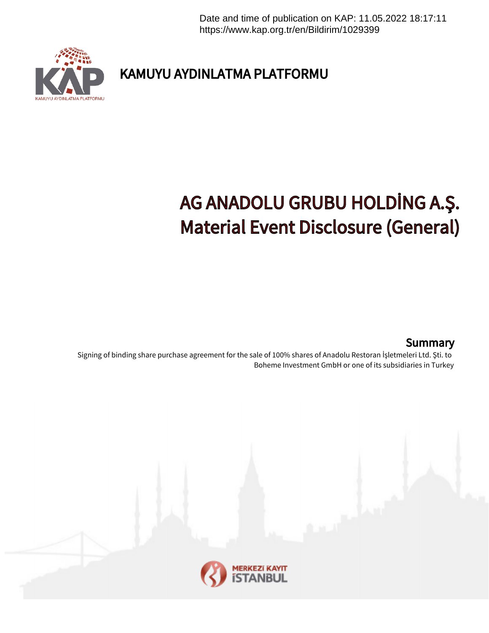Date and time of publication on KAP: 11.05.2022 18:17:11 https://www.kap.org.tr/en/Bildirim/1029399



KAMUYU AYDINLATMA PLATFORMU

## AG ANADOLU GRUBU HOLDİNG A.Ş. Material Event Disclosure (General)

## **Summary**

Signing of binding share purchase agreement for the sale of 100% shares of Anadolu Restoran İşletmeleri Ltd. Şti. to Boheme Investment GmbH or one of its subsidiaries in Turkey